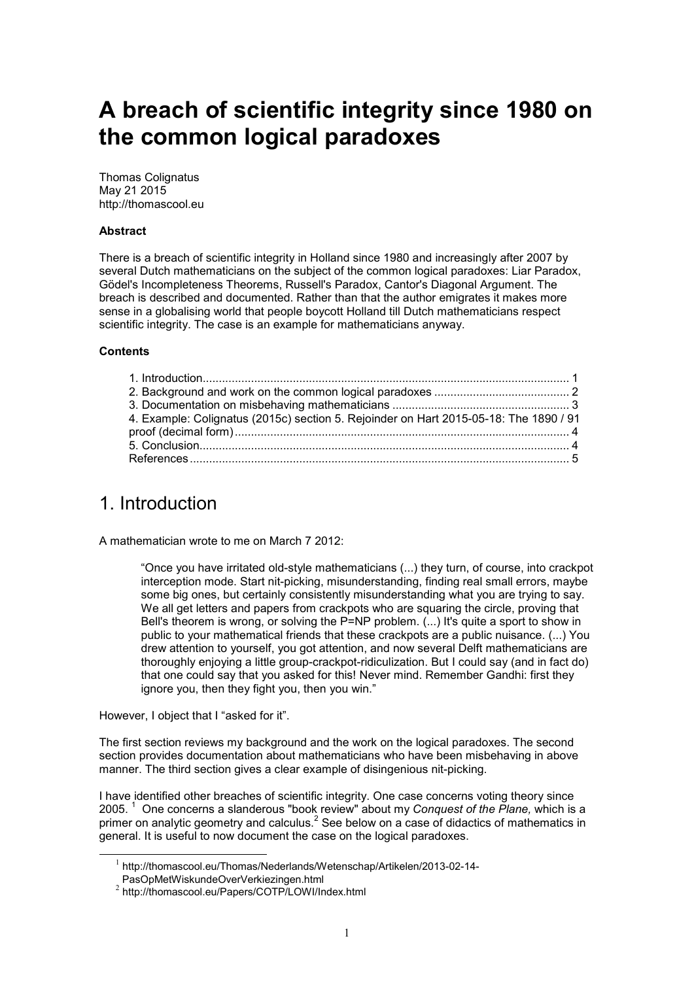# **A breach of scientific integrity since 1980 on the common logical paradoxes**

Thomas Colignatus May 21 2015 http://thomascool.eu

#### **Abstract**

There is a breach of scientific integrity in Holland since 1980 and increasingly after 2007 by several Dutch mathematicians on the subject of the common logical paradoxes: Liar Paradox, Gödel's Incompleteness Theorems, Russell's Paradox, Cantor's Diagonal Argument. The breach is described and documented. Rather than that the author emigrates it makes more sense in a globalising world that people boycott Holland till Dutch mathematicians respect scientific integrity. The case is an example for mathematicians anyway.

#### **Contents**

| 4. Example: Colignatus (2015c) section 5. Rejoinder on Hart 2015-05-18: The 1890 / 91 |  |
|---------------------------------------------------------------------------------------|--|
|                                                                                       |  |
|                                                                                       |  |
|                                                                                       |  |

### 1. Introduction

A mathematician wrote to me on March 7 2012:

"Once you have irritated old-style mathematicians (...) they turn, of course, into crackpot interception mode. Start nit-picking, misunderstanding, finding real small errors, maybe some big ones, but certainly consistently misunderstanding what you are trying to say. We all get letters and papers from crackpots who are squaring the circle, proving that Bell's theorem is wrong, or solving the P=NP problem. (...) It's quite a sport to show in public to your mathematical friends that these crackpots are a public nuisance. (...) You drew attention to yourself, you got attention, and now several Delft mathematicians are thoroughly enjoying a little group-crackpot-ridiculization. But I could say (and in fact do) that one could say that you asked for this! Never mind. Remember Gandhi: first they ignore you, then they fight you, then you win."

However, I object that I "asked for it".

 $\overline{a}$ 

The first section reviews my background and the work on the logical paradoxes. The second section provides documentation about mathematicians who have been misbehaving in above manner. The third section gives a clear example of disingenious nit-picking.

I have identified other breaches of scientific integrity. One case concerns voting theory since 2005. <sup>1</sup> One concerns a slanderous "book review" about my *Conquest of the Plane,* which is a primer on analytic geometry and calculus. $^2$  See below on a case of didactics of mathematics in general. It is useful to now document the case on the logical paradoxes.

<sup>&</sup>lt;sup>1</sup> http://thomascool.eu/Thomas/Nederlands/Wetenschap/Artikelen/2013-02-14-

PasOpMetWiskundeOverVerkiezingen.html

<sup>2</sup> http://thomascool.eu/Papers/COTP/LOWI/Index.html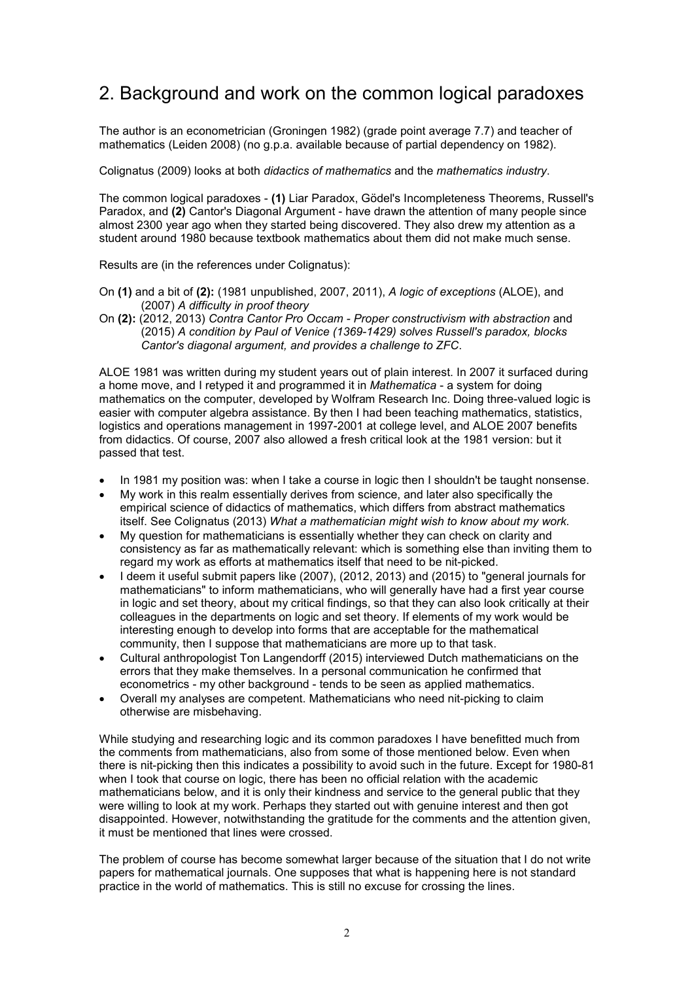# 2. Background and work on the common logical paradoxes

The author is an econometrician (Groningen 1982) (grade point average 7.7) and teacher of mathematics (Leiden 2008) (no g.p.a. available because of partial dependency on 1982).

Colignatus (2009) looks at both *didactics of mathematics* and the *mathematics industry*.

The common logical paradoxes - **(1)** Liar Paradox, Gödel's Incompleteness Theorems, Russell's Paradox, and **(2)** Cantor's Diagonal Argument - have drawn the attention of many people since almost 2300 year ago when they started being discovered. They also drew my attention as a student around 1980 because textbook mathematics about them did not make much sense.

Results are (in the references under Colignatus):

- On **(1)** and a bit of **(2):** (1981 unpublished, 2007, 2011), *A logic of exceptions* (ALOE), and (2007) *A difficulty in proof theory*
- On **(2):** (2012, 2013) *Contra Cantor Pro Occam Proper constructivism with abstraction* and (2015) *A condition by Paul of Venice (1369-1429) solves Russell's paradox, blocks Cantor's diagonal argument, and provides a challenge to ZFC*.

ALOE 1981 was written during my student years out of plain interest. In 2007 it surfaced during a home move, and I retyped it and programmed it in *Mathematica* - a system for doing mathematics on the computer, developed by Wolfram Research Inc. Doing three-valued logic is easier with computer algebra assistance. By then I had been teaching mathematics, statistics, logistics and operations management in 1997-2001 at college level, and ALOE 2007 benefits from didactics. Of course, 2007 also allowed a fresh critical look at the 1981 version: but it passed that test.

- In 1981 my position was: when I take a course in logic then I shouldn't be taught nonsense.
- My work in this realm essentially derives from science, and later also specifically the empirical science of didactics of mathematics, which differs from abstract mathematics itself. See Colignatus (2013) *What a mathematician might wish to know about my work.*
- My question for mathematicians is essentially whether they can check on clarity and consistency as far as mathematically relevant: which is something else than inviting them to regard my work as efforts at mathematics itself that need to be nit-picked.
- I deem it useful submit papers like (2007), (2012, 2013) and (2015) to "general journals for mathematicians" to inform mathematicians, who will generally have had a first year course in logic and set theory, about my critical findings, so that they can also look critically at their colleagues in the departments on logic and set theory. If elements of my work would be interesting enough to develop into forms that are acceptable for the mathematical community, then I suppose that mathematicians are more up to that task.
- Cultural anthropologist Ton Langendorff (2015) interviewed Dutch mathematicians on the errors that they make themselves. In a personal communication he confirmed that econometrics - my other background - tends to be seen as applied mathematics.
- Overall my analyses are competent. Mathematicians who need nit-picking to claim otherwise are misbehaving.

While studying and researching logic and its common paradoxes I have benefitted much from the comments from mathematicians, also from some of those mentioned below. Even when there is nit-picking then this indicates a possibility to avoid such in the future. Except for 1980-81 when I took that course on logic, there has been no official relation with the academic mathematicians below, and it is only their kindness and service to the general public that they were willing to look at my work. Perhaps they started out with genuine interest and then got disappointed. However, notwithstanding the gratitude for the comments and the attention given, it must be mentioned that lines were crossed.

The problem of course has become somewhat larger because of the situation that I do not write papers for mathematical journals. One supposes that what is happening here is not standard practice in the world of mathematics. This is still no excuse for crossing the lines.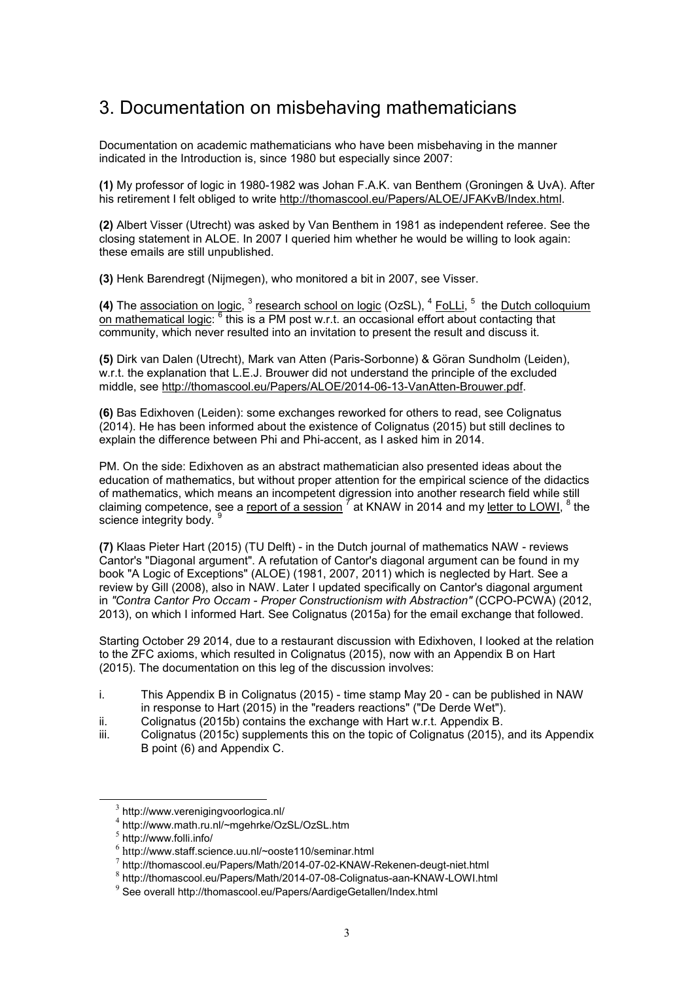# 3. Documentation on misbehaving mathematicians

Documentation on academic mathematicians who have been misbehaving in the manner indicated in the Introduction is, since 1980 but especially since 2007:

**(1)** My professor of logic in 1980-1982 was Johan F.A.K. van Benthem (Groningen & UvA). After his retirement I felt obliged to write http://thomascool.eu/Papers/ALOE/JFAKvB/Index.html.

**(2)** Albert Visser (Utrecht) was asked by Van Benthem in 1981 as independent referee. See the closing statement in ALOE. In 2007 I queried him whether he would be willing to look again: these emails are still unpublished.

**(3)** Henk Barendregt (Nijmegen), who monitored a bit in 2007, see Visser.

(4) The <u>association on logic</u>, <sup>3</sup> research school on logic (OzSL), <sup>4</sup> FoLLi, <sup>5</sup> the Dutch colloquium on mathematical logic: <sup>6</sup> this is a PM post w.r.t. an occasional effort about contacting that community, which never resulted into an invitation to present the result and discuss it.

**(5)** Dirk van Dalen (Utrecht), Mark van Atten (Paris-Sorbonne) & Göran Sundholm (Leiden), w.r.t. the explanation that L.E.J. Brouwer did not understand the principle of the excluded middle, see http://thomascool.eu/Papers/ALOE/2014-06-13-VanAtten-Brouwer.pdf.

**(6)** Bas Edixhoven (Leiden): some exchanges reworked for others to read, see Colignatus (2014). He has been informed about the existence of Colignatus (2015) but still declines to explain the difference between Phi and Phi-accent, as I asked him in 2014.

PM. On the side: Edixhoven as an abstract mathematician also presented ideas about the education of mathematics, but without proper attention for the empirical science of the didactics of mathematics, which means an incompetent digression into another research field while still claiming competence, see a <u>report of a session</u>  $^{\tau}$ at KNAW in 2014 and my <u>letter to LOWI,</u>  $^8$  the science integrity body.

**(7)** Klaas Pieter Hart (2015) (TU Delft) - in the Dutch journal of mathematics NAW - reviews Cantor's "Diagonal argument". A refutation of Cantor's diagonal argument can be found in my book "A Logic of Exceptions" (ALOE) (1981, 2007, 2011) which is neglected by Hart. See a review by Gill (2008), also in NAW. Later I updated specifically on Cantor's diagonal argument in *"Contra Cantor Pro Occam - Proper Constructionism with Abstraction"* (CCPO-PCWA) (2012, 2013), on which I informed Hart. See Colignatus (2015a) for the email exchange that followed.

Starting October 29 2014, due to a restaurant discussion with Edixhoven, I looked at the relation to the ZFC axioms, which resulted in Colignatus (2015), now with an Appendix B on Hart (2015). The documentation on this leg of the discussion involves:

- i. This Appendix B in Colignatus (2015) time stamp May 20 can be published in NAW in response to Hart (2015) in the "readers reactions" ("De Derde Wet").
- ii. Colignatus (2015b) contains the exchange with Hart w.r.t. Appendix B.
- iii. Colignatus (2015c) supplements this on the topic of Colignatus (2015), and its Appendix B point (6) and Appendix C.

 $\overline{a}$ 

 $3$  http://www.verenigingvoorlogica.nl/

<sup>4</sup> http://www.math.ru.nl/~mgehrke/OzSL/OzSL.htm

<sup>5</sup> http://www.folli.info/

<sup>6</sup> http://www.staff.science.uu.nl/~ooste110/seminar.html

<sup>7</sup> http://thomascool.eu/Papers/Math/2014-07-02-KNAW-Rekenen-deugt-niet.html

<sup>8</sup> http://thomascool.eu/Papers/Math/2014-07-08-Colignatus-aan-KNAW-LOWI.html

<sup>9</sup> See overall http://thomascool.eu/Papers/AardigeGetallen/Index.html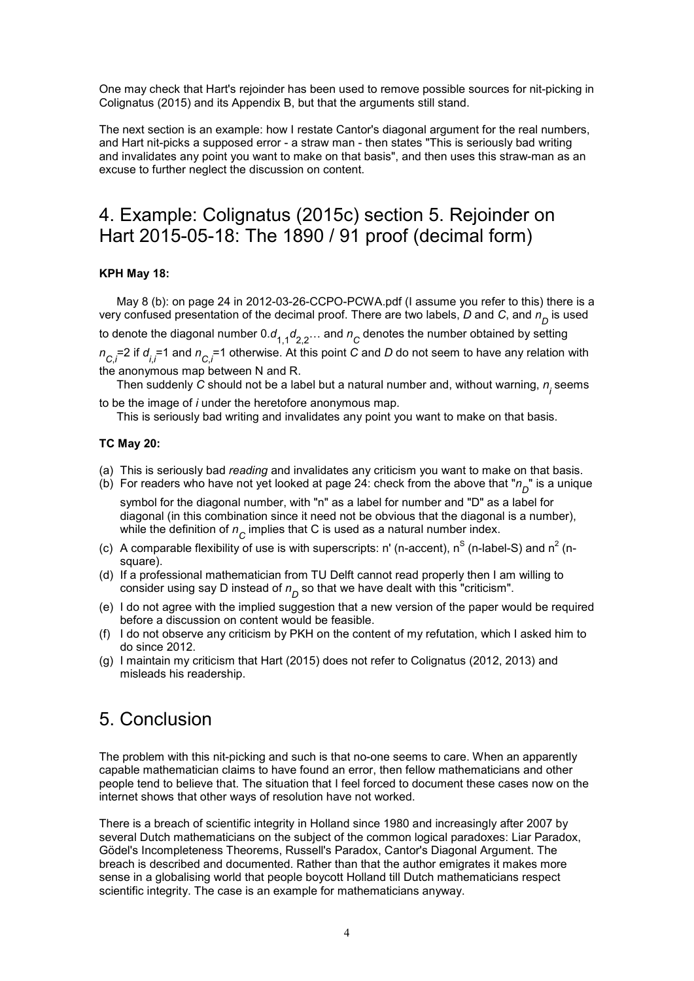One may check that Hart's rejoinder has been used to remove possible sources for nit-picking in Colignatus (2015) and its Appendix B, but that the arguments still stand.

The next section is an example: how I restate Cantor's diagonal argument for the real numbers, and Hart nit-picks a supposed error - a straw man - then states "This is seriously bad writing and invalidates any point you want to make on that basis", and then uses this straw-man as an excuse to further neglect the discussion on content.

## 4. Example: Colignatus (2015c) section 5. Rejoinder on Hart 2015-05-18: The 1890 / 91 proof (decimal form)

### **KPH May 18:**

May 8 (b): on page 24 in 2012-03-26-CCPO-PCWA.pdf (I assume you refer to this) there is a very confused presentation of the decimal proof. There are two labels, *D* and *C*, and *n D* is used

to denote the diagonal number 0. $d_{1,1}d_{2,2}...$  and  $n_{C}$  denotes the number obtained by setting  $n_{C,i}$ =2 if  $d_{i,i}$ =1 and  $n_{C,i}$ =1 otherwise. At this point *C* and *D* do not seem to have any relation with the anonymous map between N and R.

Then suddenly *C* should not be a label but a natural number and, without warning,  $n_{\overline{\textit{j}}}$  seems to be the image of *i* under the heretofore anonymous map.

This is seriously bad writing and invalidates any point you want to make on that basis.

#### **TC May 20:**

- (a) This is seriously bad *reading* and invalidates any criticism you want to make on that basis.
- (b) For readers who have not yet looked at page 24: check from the above that " $n_{\overline{D}}$ " is a unique

symbol for the diagonal number, with "n" as a label for number and "D" as a label for diagonal (in this combination since it need not be obvious that the diagonal is a number), while the definition of  $n_{\stackrel{\phantom{.}}{C}}$  implies that C is used as a natural number index.

- (c) A comparable flexibility of use is with superscripts: n' (n-accent),  $n^S$  (n-label-S) and  $n^2$  (nsquare).
- (d) If a professional mathematician from TU Delft cannot read properly then I am willing to consider using say D instead of  $n_{\overline{D}}$  so that we have dealt with this "criticism".
- (e) I do not agree with the implied suggestion that a new version of the paper would be required before a discussion on content would be feasible.
- (f) I do not observe any criticism by PKH on the content of my refutation, which I asked him to do since 2012.
- (g) I maintain my criticism that Hart (2015) does not refer to Colignatus (2012, 2013) and misleads his readership.

### 5. Conclusion

The problem with this nit-picking and such is that no-one seems to care. When an apparently capable mathematician claims to have found an error, then fellow mathematicians and other people tend to believe that. The situation that I feel forced to document these cases now on the internet shows that other ways of resolution have not worked.

There is a breach of scientific integrity in Holland since 1980 and increasingly after 2007 by several Dutch mathematicians on the subject of the common logical paradoxes: Liar Paradox, Gödel's Incompleteness Theorems, Russell's Paradox, Cantor's Diagonal Argument. The breach is described and documented. Rather than that the author emigrates it makes more sense in a globalising world that people boycott Holland till Dutch mathematicians respect scientific integrity. The case is an example for mathematicians anyway.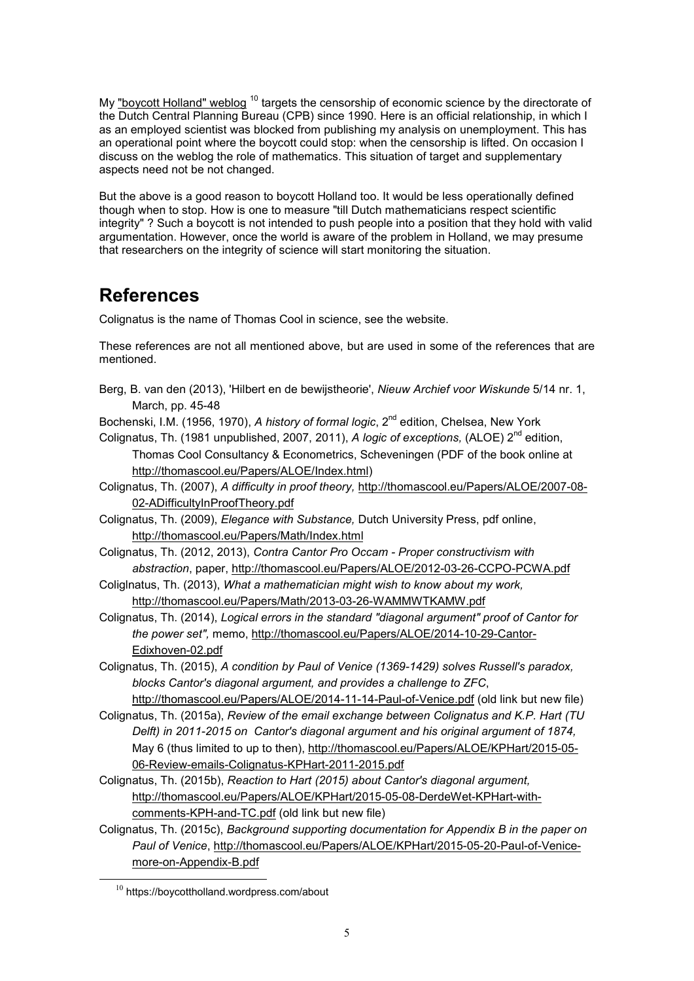My "boycott Holland" weblog  $10$  targets the censorship of economic science by the directorate of the Dutch Central Planning Bureau (CPB) since 1990. Here is an official relationship, in which I as an employed scientist was blocked from publishing my analysis on unemployment. This has an operational point where the boycott could stop: when the censorship is lifted. On occasion I discuss on the weblog the role of mathematics. This situation of target and supplementary aspects need not be not changed.

But the above is a good reason to boycott Holland too. It would be less operationally defined though when to stop. How is one to measure "till Dutch mathematicians respect scientific integrity" ? Such a boycott is not intended to push people into a position that they hold with valid argumentation. However, once the world is aware of the problem in Holland, we may presume that researchers on the integrity of science will start monitoring the situation.

### **References**

Colignatus is the name of Thomas Cool in science, see the website.

These references are not all mentioned above, but are used in some of the references that are mentioned.

Berg, B. van den (2013), 'Hilbert en de bewijstheorie', *Nieuw Archief voor Wiskunde* 5/14 nr. 1, March, pp. 45-48

Bochenski, I.M. (1956, 1970), *A history of formal logic*, 2<sup>nd</sup> edition, Chelsea, New York

- Colignatus, Th. (1981 unpublished, 2007, 2011), *A logic of exceptions*, (ALOE) 2<sup>nd</sup> edition, Thomas Cool Consultancy & Econometrics, Scheveningen (PDF of the book online at http://thomascool.eu/Papers/ALOE/Index.html)
- Colignatus, Th. (2007), *A difficulty in proof theory,* http://thomascool.eu/Papers/ALOE/2007-08- 02-ADifficultyInProofTheory.pdf

Colignatus, Th. (2009), *Elegance with Substance,* Dutch University Press, pdf online, http://thomascool.eu/Papers/Math/Index.html

- Colignatus, Th. (2012, 2013), *Contra Cantor Pro Occam Proper constructivism with abstraction*, paper, http://thomascool.eu/Papers/ALOE/2012-03-26-CCPO-PCWA.pdf
- Coliglnatus, Th. (2013), *What a mathematician might wish to know about my work,* http://thomascool.eu/Papers/Math/2013-03-26-WAMMWTKAMW.pdf
- Colignatus, Th. (2014), *Logical errors in the standard "diagonal argument" proof of Cantor for the power set",* memo, http://thomascool.eu/Papers/ALOE/2014-10-29-Cantor-Edixhoven-02.pdf
- Colignatus, Th. (2015), *A condition by Paul of Venice (1369-1429) solves Russell's paradox, blocks Cantor's diagonal argument, and provides a challenge to ZFC*, http://thomascool.eu/Papers/ALOE/2014-11-14-Paul-of-Venice.pdf (old link but new file)
- Colignatus, Th. (2015a), *Review of the email exchange between Colignatus and K.P. Hart (TU Delft) in 2011-2015 on Cantor's diagonal argument and his original argument of 1874,* May 6 (thus limited to up to then), http://thomascool.eu/Papers/ALOE/KPHart/2015-05- 06-Review-emails-Colignatus-KPHart-2011-2015.pdf
- Colignatus, Th. (2015b), *Reaction to Hart (2015) about Cantor's diagonal argument,* http://thomascool.eu/Papers/ALOE/KPHart/2015-05-08-DerdeWet-KPHart-withcomments-KPH-and-TC.pdf (old link but new file)
- Colignatus, Th. (2015c), *Background supporting documentation for Appendix B in the paper on Paul of Venice*, http://thomascool.eu/Papers/ALOE/KPHart/2015-05-20-Paul-of-Venicemore-on-Appendix-B.pdf

 $\overline{a}$ 

 $10$  https://boycottholland.wordpress.com/about